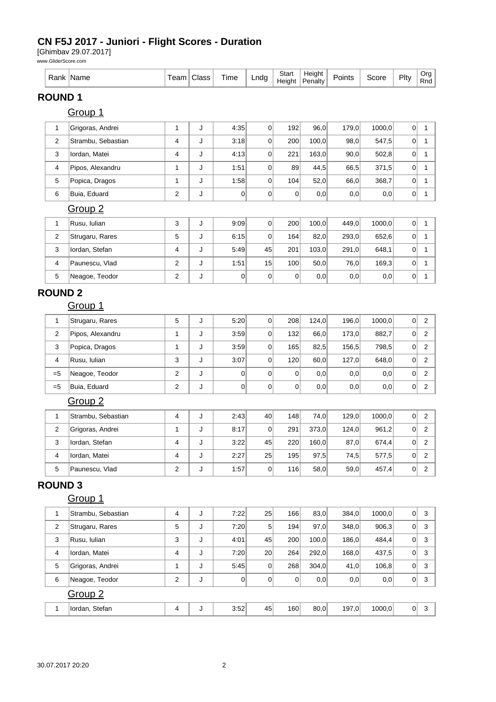#### **CN F5J 2017 - Juniori - Flight Scores - Duration**

[Ghimbav 29.07.2017]

www.GliderScore.com

| kank<br>vane | n n m<br>еан | Class: | --<br>lme | _nda<br>. . | Start<br>Height | Height<br>Penalty | -<br>'oints | icore | Plt∨ | Ora<br>Dn.<br>Rnd |
|--------------|--------------|--------|-----------|-------------|-----------------|-------------------|-------------|-------|------|-------------------|
|--------------|--------------|--------|-----------|-------------|-----------------|-------------------|-------------|-------|------|-------------------|

# **ROUND 1**

Group 1

| 1                       | Grigoras, Andrei   | 1                       | J | 4:35           | 0              | 192            | 96,0  | 179,0 | 1000,0 | 0           | 1                       |  |  |
|-------------------------|--------------------|-------------------------|---|----------------|----------------|----------------|-------|-------|--------|-------------|-------------------------|--|--|
| 2                       | Strambu, Sebastian | 4                       | J | 3:18           | 0              | 200            | 100,0 | 98,0  | 547,5  | 0           | $\mathbf{1}$            |  |  |
| 3                       | Iordan, Matei      | 4                       | J | 4:13           | 0              | 221            | 163,0 | 90,0  | 502,8  | 0           | 1                       |  |  |
| 4                       | Pipos, Alexandru   | 1                       | J | 1:51           | 0              | 89             | 44,5  | 66,5  | 371,5  | $\mathbf 0$ | $\mathbf{1}$            |  |  |
| 5                       | Popica, Dragos     | 1                       | J | 1:58           | 0              | 104            | 52,0  | 66,0  | 368,7  | 0           | 1                       |  |  |
| 6                       | Buia, Eduard       | $\boldsymbol{2}$        | J | $\overline{0}$ | 0              | $\overline{0}$ | 0,0   | 0,0   | 0,0    | 0           | 1                       |  |  |
|                         | Group <sub>2</sub> |                         |   |                |                |                |       |       |        |             |                         |  |  |
| 1                       | Rusu, Iulian       | 3                       | J | 9:09           | 0              | 200            | 100,0 | 449,0 | 1000,0 | 0           | 1                       |  |  |
| 2                       | Strugaru, Rares    | $\mathbf 5$             | J | 6:15           | 0              | 164            | 82,0  | 293,0 | 652,6  | $\mathbf 0$ | $\mathbf{1}$            |  |  |
| 3                       | Iordan, Stefan     | 4                       | J | 5:49           | 45             | 201            | 103,0 | 291,0 | 648,1  | 0           | 1                       |  |  |
| 4                       | Paunescu, Vlad     | $\boldsymbol{2}$        | J | 1:51           | 15             | 100            | 50,0  | 76,0  | 169,3  | 0           | $\mathbf{1}$            |  |  |
| 5                       | Neagoe, Teodor     | $\overline{c}$          | J | 0              | 0              | $\overline{0}$ | 0,0   | 0,0   | 0,0    | 0           | $\mathbf{1}$            |  |  |
| <b>ROUND 2</b>          |                    |                         |   |                |                |                |       |       |        |             |                         |  |  |
|                         | Group 1            |                         |   |                |                |                |       |       |        |             |                         |  |  |
| 1                       | Strugaru, Rares    | 5                       | J | 5:20           | 0              | 208            | 124,0 | 196,0 | 1000,0 | 0           | $\overline{\mathbf{c}}$ |  |  |
| $\mathbf{2}$            | Pipos, Alexandru   | 1                       | J | 3:59           | 0              | 132            | 66,0  | 173,0 | 882,7  | $\mathbf 0$ | $\overline{2}$          |  |  |
| 3                       | Popica, Dragos     | 1                       | J | 3.59           | 0              | 165            | 82,5  | 156,5 | 798,5  | 0           | $\overline{\mathbf{c}}$ |  |  |
| 4                       | Rusu, Iulian       | 3                       | J | 3:07           | 0              | 120            | 60,0  | 127,0 | 648,0  | 0           | $\overline{c}$          |  |  |
| $= 5$                   | Neagoe, Teodor     | $\boldsymbol{2}$        | J | 0              | 0              | $\mathbf 0$    | 0,0   | 0,0   | 0,0    | $\mathbf 0$ | $\overline{c}$          |  |  |
| $= 5$                   | Buia, Eduard       | $\boldsymbol{2}$        | J | 0              | 0              | 0              | 0,0   | 0,0   | 0,0    | $\mathbf 0$ | $\overline{c}$          |  |  |
|                         | Group <sub>2</sub> |                         |   |                |                |                |       |       |        |             |                         |  |  |
| 1                       | Strambu, Sebastian | 4                       | J | 2:43           | 40             | 148            | 74,0  | 129,0 | 1000,0 | 0           | $\sqrt{2}$              |  |  |
| $\overline{\mathbf{c}}$ | Grigoras, Andrei   | 1                       | J | 8:17           | 0              | 291            | 373,0 | 124,0 | 961,2  | $\mathbf 0$ | $\overline{\mathbf{c}}$ |  |  |
| 3                       | Iordan, Stefan     | $\overline{\mathbf{4}}$ | J | 3:22           | 45             | 220            | 160,0 | 87,0  | 674,4  | 0           | 2                       |  |  |
| 4                       | Iordan, Matei      | 4                       | J | 2:27           | 25             | 195            | 97,5  | 74,5  | 577,5  | 0           | $\overline{2}$          |  |  |
| 5                       | Paunescu, Vlad     | $\boldsymbol{2}$        | J | 1:57           | 0              | 116            | 58,0  | 59,0  | 457,4  | $\mathbf 0$ | $\overline{c}$          |  |  |
| <b>ROUND 3</b>          |                    |                         |   |                |                |                |       |       |        |             |                         |  |  |
|                         | Group 1            |                         |   |                |                |                |       |       |        |             |                         |  |  |
| 1                       | Strambu, Sebastian | $\overline{4}$          | J | 7:22           | 25             | 166            | 83,0  | 384,0 | 1000,0 | 0           | 3                       |  |  |
| $\overline{2}$          | Strugaru, Rares    | 5                       | J | 7:20           | 5 <sup>5</sup> | 194            | 97,0  | 348,0 | 906,3  | 0           | 3                       |  |  |
| 3                       | Rusu, Iulian       | 3                       | J | 4:01           | 45             | 200            | 100,0 | 186,0 | 484,4  | 0           | 3                       |  |  |
| 4                       | Iordan, Matei      | $\overline{\mathbf{4}}$ | J | 7:20           | 20             | 264            | 292,0 | 168,0 | 437,5  | 0           | 3                       |  |  |
| 5                       | Grigoras, Andrei   | $\mathbf{1}$            | J | 5:45           | 0              | 268            | 304,0 | 41,0  | 106, 8 | 0           | 3                       |  |  |
| 6                       | Neagoe, Teodor     | $\overline{c}$          | J | 0              | 0              | $\overline{0}$ | 0,0   | 0,0   | 0,0    | 0           | 3                       |  |  |
|                         | Group <sub>2</sub> |                         |   |                |                |                |       |       |        |             |                         |  |  |
| 1                       | Iordan, Stefan     | $\overline{4}$          | J | 3.52           | 45             | 160            | 80,0  | 197,0 | 1000,0 | 0           | $\mathbf{3}$            |  |  |